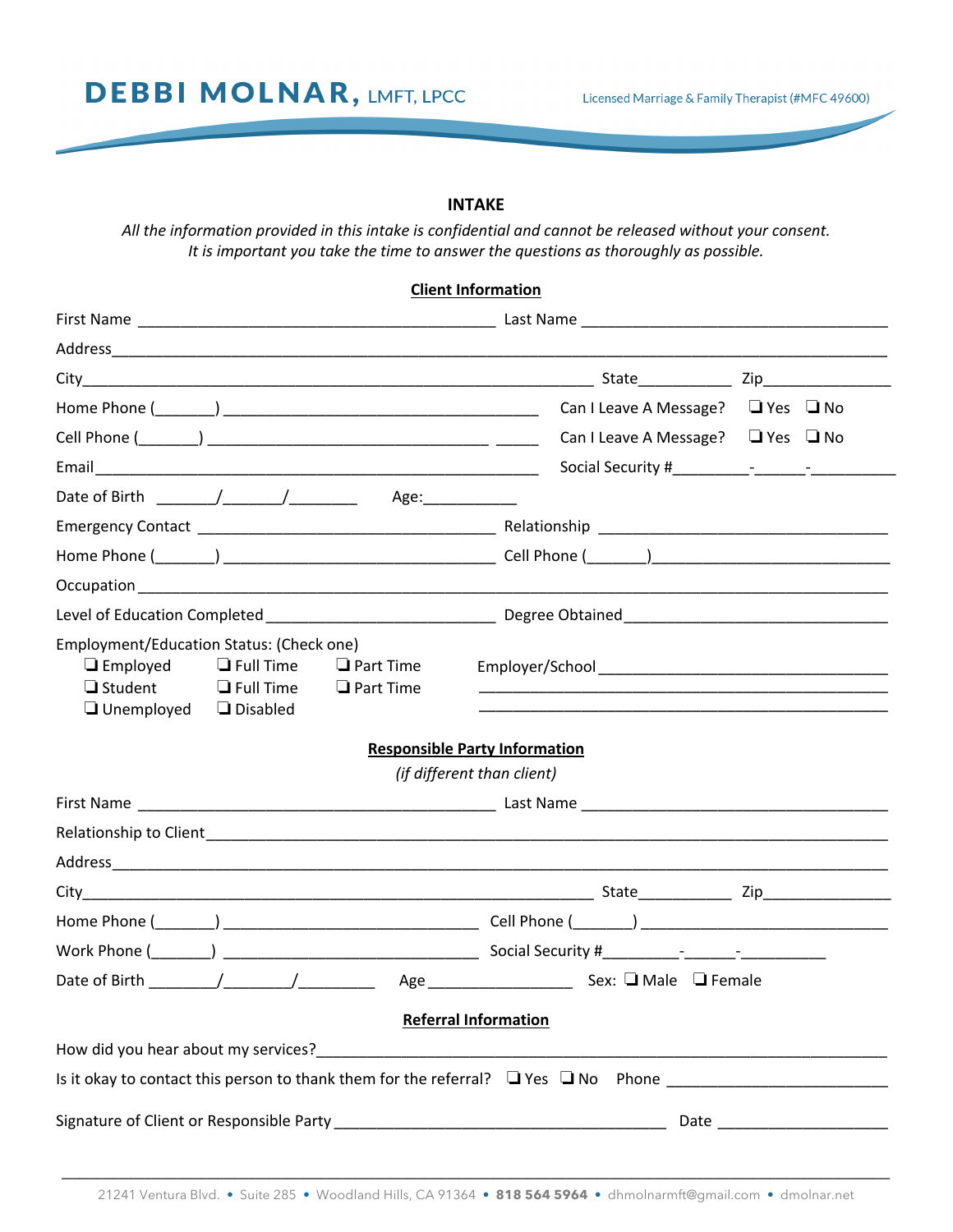## **INTAKE**

*All the information provided in this intake is confidential and cannot be released without your consent. It is important you take the time to answer the questions as thoroughly as possible.*

|                                                                                                    |                                                         |                                      | <b>Client Information</b>            |                                                                                                                                                                                                                                |  |  |
|----------------------------------------------------------------------------------------------------|---------------------------------------------------------|--------------------------------------|--------------------------------------|--------------------------------------------------------------------------------------------------------------------------------------------------------------------------------------------------------------------------------|--|--|
|                                                                                                    |                                                         |                                      |                                      |                                                                                                                                                                                                                                |  |  |
|                                                                                                    |                                                         |                                      |                                      |                                                                                                                                                                                                                                |  |  |
|                                                                                                    |                                                         |                                      |                                      |                                                                                                                                                                                                                                |  |  |
|                                                                                                    |                                                         |                                      |                                      | Can I Leave A Message? $\Box$ Yes $\Box$ No                                                                                                                                                                                    |  |  |
|                                                                                                    |                                                         |                                      |                                      | Can I Leave A Message? $\Box$ Yes $\Box$ No                                                                                                                                                                                    |  |  |
| Email                                                                                              |                                                         |                                      |                                      | Social Security # The Contract Contract Contract Contract Contract Contract Contract Contract Contract Contract Contract Contract Contract Contract Contract Contract Contract Contract Contract Contract Contract Contract Co |  |  |
| Date of Birth $\qquad \qquad / \qquad \qquad / \qquad \qquad$                                      |                                                         |                                      | Age:_____________                    |                                                                                                                                                                                                                                |  |  |
|                                                                                                    |                                                         |                                      |                                      |                                                                                                                                                                                                                                |  |  |
|                                                                                                    |                                                         |                                      |                                      |                                                                                                                                                                                                                                |  |  |
|                                                                                                    |                                                         |                                      |                                      |                                                                                                                                                                                                                                |  |  |
|                                                                                                    |                                                         |                                      |                                      |                                                                                                                                                                                                                                |  |  |
| Employment/Education Status: (Check one)<br>$\Box$ Employed<br>$\Box$ Student<br>$\Box$ Unemployed | $\Box$ Full Time<br>$\Box$ Full Time<br>$\Box$ Disabled | $\Box$ Part Time<br>$\Box$ Part Time |                                      |                                                                                                                                                                                                                                |  |  |
|                                                                                                    |                                                         |                                      | <b>Responsible Party Information</b> |                                                                                                                                                                                                                                |  |  |
|                                                                                                    |                                                         |                                      | (if different than client)           |                                                                                                                                                                                                                                |  |  |
|                                                                                                    |                                                         |                                      |                                      |                                                                                                                                                                                                                                |  |  |
|                                                                                                    |                                                         |                                      |                                      |                                                                                                                                                                                                                                |  |  |
|                                                                                                    |                                                         |                                      |                                      |                                                                                                                                                                                                                                |  |  |
|                                                                                                    |                                                         |                                      |                                      |                                                                                                                                                                                                                                |  |  |
|                                                                                                    |                                                         |                                      |                                      |                                                                                                                                                                                                                                |  |  |
|                                                                                                    |                                                         |                                      |                                      |                                                                                                                                                                                                                                |  |  |
| Date of Birth $\frac{1}{\sqrt{1-\frac{1}{2}}}\left[\frac{1}{\sqrt{1-\frac{1}{2}}}\right]$          |                                                         |                                      |                                      |                                                                                                                                                                                                                                |  |  |
|                                                                                                    |                                                         |                                      | <b>Referral Information</b>          |                                                                                                                                                                                                                                |  |  |
|                                                                                                    |                                                         |                                      |                                      |                                                                                                                                                                                                                                |  |  |
|                                                                                                    |                                                         |                                      |                                      | Is it okay to contact this person to thank them for the referral? I Yes I No Phone ___________________________                                                                                                                 |  |  |
|                                                                                                    |                                                         |                                      |                                      |                                                                                                                                                                                                                                |  |  |
|                                                                                                    |                                                         |                                      |                                      |                                                                                                                                                                                                                                |  |  |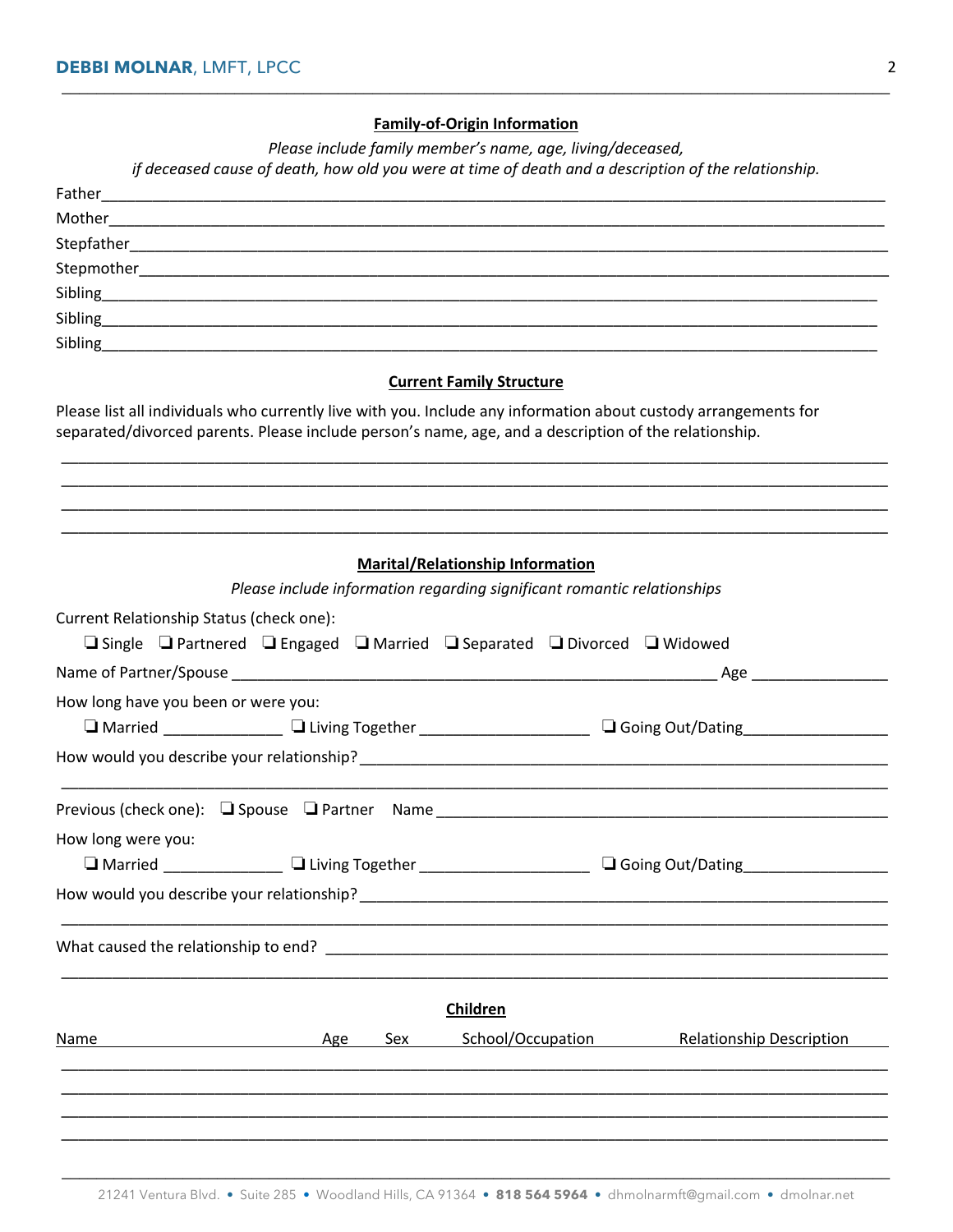## **Family-of-Origin Information**

**\_\_\_\_\_\_\_\_\_\_\_\_\_\_\_\_\_\_\_\_\_\_\_\_\_\_\_\_\_\_\_\_\_\_\_\_\_\_\_\_\_\_\_\_\_\_\_\_\_\_\_\_\_\_\_\_\_\_\_\_\_\_\_\_\_\_\_\_\_\_\_\_\_\_\_\_\_\_\_\_\_\_\_\_\_\_\_\_\_\_\_\_\_\_\_\_**

*Please include family member's name, age, living/deceased, if deceased cause of death, how old you were at time of death and a description of the relationship.*

| Sibling <u>Contract Communication</u> Contract Communication of the Communication of the Communication of the Communication of the Communication of the Communication of the Communication of the Communication of the Communicatio |  |
|-------------------------------------------------------------------------------------------------------------------------------------------------------------------------------------------------------------------------------------|--|
|                                                                                                                                                                                                                                     |  |
|                                                                                                                                                                                                                                     |  |
| <b>Current Family Structure</b>                                                                                                                                                                                                     |  |
| Please list all individuals who currently live with you. Include any information about custody arrangements for                                                                                                                     |  |
| separated/divorced parents. Please include person's name, age, and a description of the relationship.                                                                                                                               |  |
|                                                                                                                                                                                                                                     |  |
|                                                                                                                                                                                                                                     |  |
|                                                                                                                                                                                                                                     |  |
|                                                                                                                                                                                                                                     |  |
| <b>Marital/Relationship Information</b>                                                                                                                                                                                             |  |
| Please include information regarding significant romantic relationships                                                                                                                                                             |  |
| Current Relationship Status (check one):                                                                                                                                                                                            |  |
| $\Box$ Single $\Box$ Partnered $\Box$ Engaged $\Box$ Married $\Box$ Separated $\Box$ Divorced $\Box$ Widowed                                                                                                                        |  |
|                                                                                                                                                                                                                                     |  |
| How long have you been or were you:                                                                                                                                                                                                 |  |
| □ Married _______________ □ Living Together ______________________ □ Going Out/Dating ___________________                                                                                                                           |  |
|                                                                                                                                                                                                                                     |  |
|                                                                                                                                                                                                                                     |  |
|                                                                                                                                                                                                                                     |  |
| How long were you:                                                                                                                                                                                                                  |  |
| □ Married ______________ □ Living Together _____________________ □ Going Out/Dating _______________                                                                                                                                 |  |
|                                                                                                                                                                                                                                     |  |
| How would you describe your relationship? Notify a state of the state of the state of the state of the state o                                                                                                                      |  |
|                                                                                                                                                                                                                                     |  |
| What caused the relationship to end? The contract of the contract of the contract of the contract of the contract of the contract of the contract of the contract of the contract of the contract of the contract of the contr      |  |
|                                                                                                                                                                                                                                     |  |
| <b>Children</b>                                                                                                                                                                                                                     |  |
| School/Occupation<br><b>Relationship Description</b><br><b>Sex</b><br>Name<br>Age                                                                                                                                                   |  |
|                                                                                                                                                                                                                                     |  |
|                                                                                                                                                                                                                                     |  |
|                                                                                                                                                                                                                                     |  |
|                                                                                                                                                                                                                                     |  |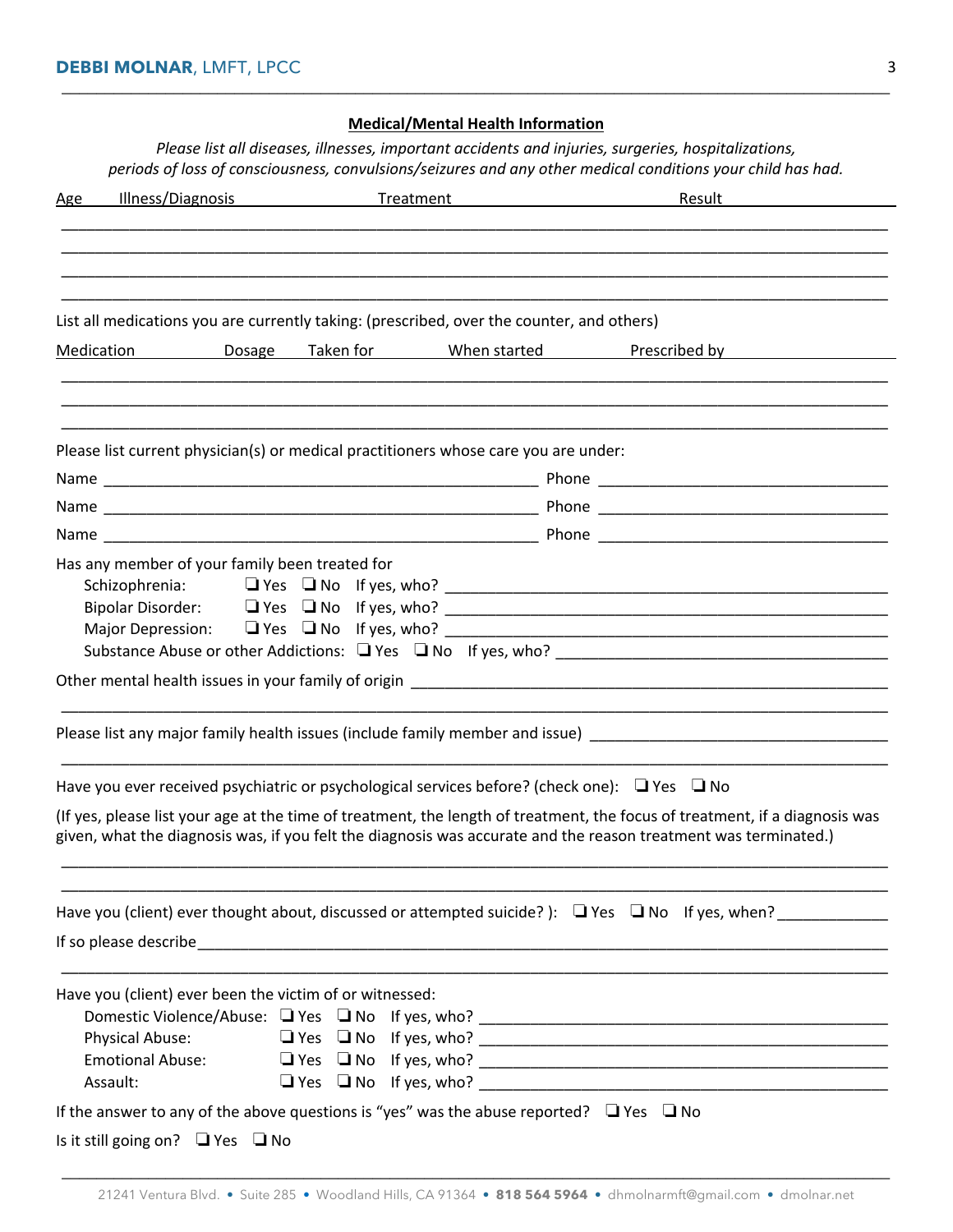## **Medical/Mental Health Information**

**\_\_\_\_\_\_\_\_\_\_\_\_\_\_\_\_\_\_\_\_\_\_\_\_\_\_\_\_\_\_\_\_\_\_\_\_\_\_\_\_\_\_\_\_\_\_\_\_\_\_\_\_\_\_\_\_\_\_\_\_\_\_\_\_\_\_\_\_\_\_\_\_\_\_\_\_\_\_\_\_\_\_\_\_\_\_\_\_\_\_\_\_\_\_\_\_**

*Please list all diseases, illnesses, important accidents and injuries, surgeries, hospitalizations, periods of loss of consciousness, convulsions/seizures and any other medical conditions your child has had.*

| Illness/Diagnosis<br>Age                                                                               | Treatment |                               | Result                                                                                                                                                                                                                                         |
|--------------------------------------------------------------------------------------------------------|-----------|-------------------------------|------------------------------------------------------------------------------------------------------------------------------------------------------------------------------------------------------------------------------------------------|
|                                                                                                        |           |                               |                                                                                                                                                                                                                                                |
|                                                                                                        |           |                               |                                                                                                                                                                                                                                                |
|                                                                                                        |           |                               |                                                                                                                                                                                                                                                |
| List all medications you are currently taking: (prescribed, over the counter, and others)              |           |                               |                                                                                                                                                                                                                                                |
| Medication                                                                                             |           | Dosage Taken for When started | Prescribed by The Second Second Second Second Second Second Second Second Second Second Second Second Second Second Second Second Second Second Second Second Second Second Second Second Second Second Second Second Second S                 |
|                                                                                                        |           |                               |                                                                                                                                                                                                                                                |
|                                                                                                        |           |                               |                                                                                                                                                                                                                                                |
| Please list current physician(s) or medical practitioners whose care you are under:                    |           |                               |                                                                                                                                                                                                                                                |
|                                                                                                        |           |                               |                                                                                                                                                                                                                                                |
|                                                                                                        |           |                               |                                                                                                                                                                                                                                                |
|                                                                                                        |           |                               |                                                                                                                                                                                                                                                |
| Has any member of your family been treated for                                                         |           |                               |                                                                                                                                                                                                                                                |
|                                                                                                        |           |                               |                                                                                                                                                                                                                                                |
|                                                                                                        |           |                               |                                                                                                                                                                                                                                                |
|                                                                                                        |           |                               |                                                                                                                                                                                                                                                |
|                                                                                                        |           |                               |                                                                                                                                                                                                                                                |
|                                                                                                        |           |                               |                                                                                                                                                                                                                                                |
|                                                                                                        |           |                               | Please list any major family health issues (include family member and issue) _________________________________                                                                                                                                 |
| Have you ever received psychiatric or psychological services before? (check one): $\Box$ Yes $\Box$ No |           |                               |                                                                                                                                                                                                                                                |
|                                                                                                        |           |                               | (If yes, please list your age at the time of treatment, the length of treatment, the focus of treatment, if a diagnosis was<br>given, what the diagnosis was, if you felt the diagnosis was accurate and the reason treatment was terminated.) |
|                                                                                                        |           |                               |                                                                                                                                                                                                                                                |
|                                                                                                        |           |                               | Have you (client) ever thought about, discussed or attempted suicide?): $\Box$ Yes $\Box$ No If yes, when?                                                                                                                                     |
|                                                                                                        |           |                               |                                                                                                                                                                                                                                                |
| Have you (client) ever been the victim of or witnessed:                                                |           |                               |                                                                                                                                                                                                                                                |
|                                                                                                        |           |                               |                                                                                                                                                                                                                                                |
|                                                                                                        |           |                               |                                                                                                                                                                                                                                                |
| <b>Emotional Abuse:</b><br>Assault:                                                                    |           |                               |                                                                                                                                                                                                                                                |
| If the answer to any of the above questions is "yes" was the abuse reported? $\Box$ Yes $\Box$ No      |           |                               |                                                                                                                                                                                                                                                |
|                                                                                                        |           |                               |                                                                                                                                                                                                                                                |
| Is it still going on? $\Box$ Yes $\Box$ No                                                             |           |                               |                                                                                                                                                                                                                                                |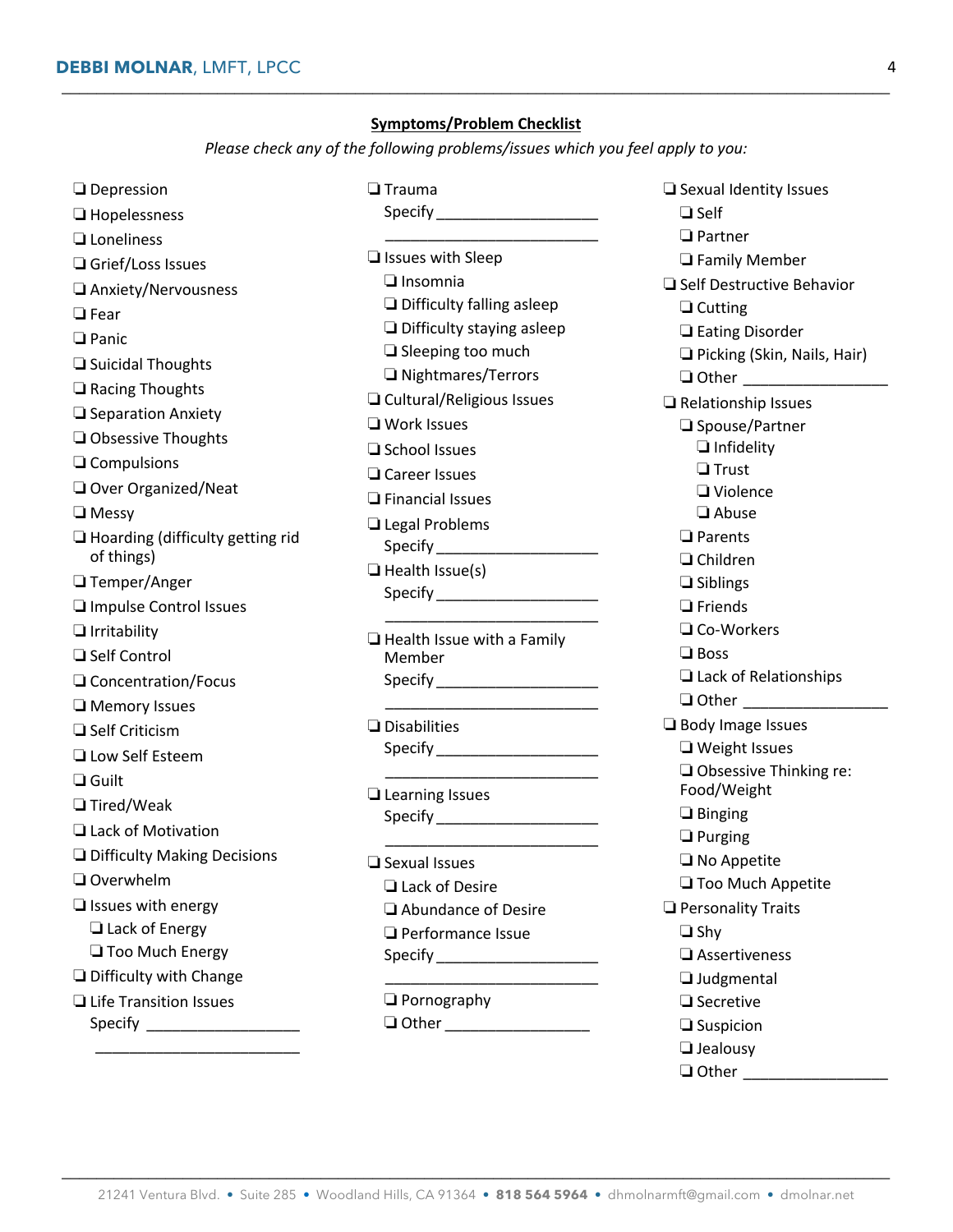## **Symptoms/Problem Checklist**

**\_\_\_\_\_\_\_\_\_\_\_\_\_\_\_\_\_\_\_\_\_\_\_\_\_\_\_\_\_\_\_\_\_\_\_\_\_\_\_\_\_\_\_\_\_\_\_\_\_\_\_\_\_\_\_\_\_\_\_\_\_\_\_\_\_\_\_\_\_\_\_\_\_\_\_\_\_\_\_\_\_\_\_\_\_\_\_\_\_\_\_\_\_\_\_\_**

*Please check any of the following problems/issues which you feel apply to you:*

| $\Box$ Depression<br>$\Box$ Hopelessness              | $\Box$ Trauma                     | $\Box$ Sexual Identity Issues<br>$\Box$ Self<br>$\Box$ Partner |
|-------------------------------------------------------|-----------------------------------|----------------------------------------------------------------|
| $\Box$ Loneliness                                     | $\Box$ Issues with Sleep          | <b>G</b> Family Member                                         |
| Grief/Loss Issues                                     | $\Box$ Insomnia                   | □ Self Destructive Behavior                                    |
| □ Anxiety/Nervousness<br>$\Box$ Fear                  | $\Box$ Difficulty falling asleep  | $\Box$ Cutting                                                 |
|                                                       | $\Box$ Difficulty staying asleep  | □ Eating Disorder                                              |
| $\Box$ Panic                                          | $\Box$ Sleeping too much          | Picking (Skin, Nails, Hair)                                    |
| $\Box$ Suicidal Thoughts                              | □ Nightmares/Terrors              | $\Box$ Other                                                   |
| $\Box$ Racing Thoughts                                | $\Box$ Cultural/Religious Issues  | Relationship Issues                                            |
| $\Box$ Separation Anxiety                             | $\square$ Work Issues             | □ Spouse/Partner                                               |
| Obsessive Thoughts                                    | School Issues                     | $\Box$ Infidelity                                              |
| $\Box$ Compulsions                                    | $\Box$ Career Issues              | $\Box$ Trust                                                   |
| Over Organized/Neat                                   | $\Box$ Financial Issues           | $\Box$ Violence                                                |
| $\Box$ Messy                                          | Legal Problems                    | $\Box$ Abuse                                                   |
| $\Box$ Hoarding (difficulty getting rid<br>of things) |                                   | $\Box$ Parents                                                 |
| $\Box$ Temper/Anger                                   | $\Box$ Health Issue(s)            | $\Box$ Children                                                |
|                                                       | Specify_____________________      | $\Box$ Siblings<br>$\Box$ Friends                              |
| Impulse Control Issues                                |                                   | □ Co-Workers                                                   |
| $\Box$ Irritability                                   | $\Box$ Health Issue with a Family | $\Box$ Boss                                                    |
| □ Self Control                                        | Member                            | Lack of Relationships                                          |
| □ Concentration/Focus                                 | Specify ______________________    | $\Box$ Other                                                   |
| Memory Issues                                         |                                   | $\Box$ Body Image Issues                                       |
| □ Self Criticism                                      | $\Box$ Disabilities               | $\Box$ Weight Issues                                           |
| □ Low Self Esteem                                     |                                   | Obsessive Thinking re:                                         |
| $\Box$ Guilt                                          | $\Box$ Learning Issues            | Food/Weight                                                    |
| $\Box$ Tired/Weak                                     | Specify ______________________    | $\Box$ Binging                                                 |
| Lack of Motivation                                    |                                   | $\Box$ Purging                                                 |
| Difficulty Making Decisions                           | $\Box$ Sexual Issues              | $\Box$ No Appetite                                             |
| $\Box$ Overwhelm                                      | $\Box$ Lack of Desire             | □ Too Much Appetite                                            |
| $\Box$ Issues with energy                             | Abundance of Desire               | <b>Q</b> Personality Traits                                    |
| $\Box$ Lack of Energy                                 | $\Box$ Performance Issue          | $\Box$ Shy                                                     |
| Too Much Energy                                       |                                   | □ Assertiveness                                                |
| $\Box$ Difficulty with Change                         |                                   | □ Judgmental                                                   |
| <b>Life Transition Issues</b>                         | $\Box$ Pornography                | $\Box$ Secretive                                               |
|                                                       | □ Other ___________________       | $\Box$ Suspicion                                               |
|                                                       |                                   | $\Box$ Jealousy                                                |

o Other \_\_\_\_\_\_\_\_\_\_\_\_\_\_\_\_\_